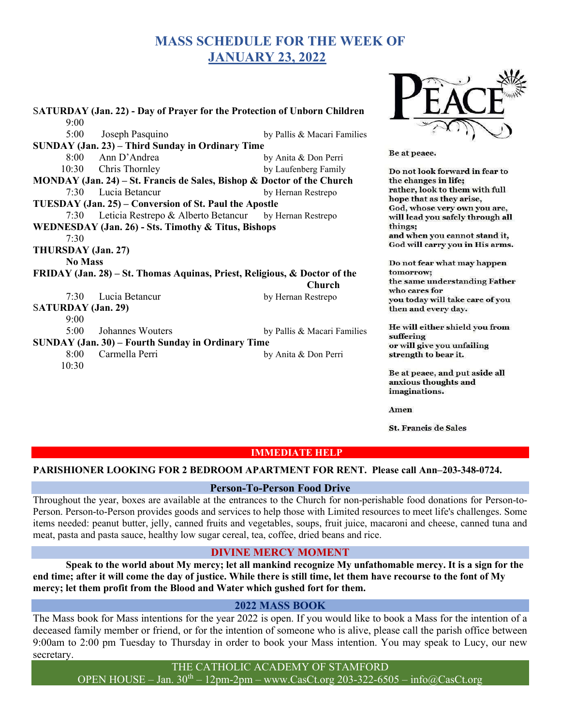# MASS SCHEDULE FOR THE WEEK OF JANUARY 23, 2022

| SATURDAY (Jan. 22) - Day of Prayer for the Protection of Unborn Children  |                                                             |                             |                                                                         |
|---------------------------------------------------------------------------|-------------------------------------------------------------|-----------------------------|-------------------------------------------------------------------------|
| 9:00                                                                      |                                                             |                             |                                                                         |
| 5:00                                                                      | Joseph Pasquino                                             | by Pallis & Macari Families |                                                                         |
| SUNDAY (Jan. 23) – Third Sunday in Ordinary Time                          |                                                             |                             |                                                                         |
| 8:00                                                                      | Ann D'Andrea                                                | by Anita & Don Perri        | Be at peace.                                                            |
| 10:30                                                                     | Chris Thornley                                              | by Laufenberg Family        | Do not look forward in fear to                                          |
| MONDAY (Jan. 24) – St. Francis de Sales, Bishop & Doctor of the Church    |                                                             |                             | the changes in life;                                                    |
| 7:30                                                                      | Lucia Betancur                                              | by Hernan Restrepo          | rather, look to them with full                                          |
| TUESDAY (Jan. 25) – Conversion of St. Paul the Apostle                    |                                                             |                             | hope that as they arise,<br>God, whose very own you are,                |
|                                                                           | 7:30 Leticia Restrepo & Alberto Betancur by Hernan Restrepo |                             | will lead you safely through all                                        |
| WEDNESDAY (Jan. 26) - Sts. Timothy & Titus, Bishops                       |                                                             |                             | things;                                                                 |
| 7:30                                                                      |                                                             |                             | and when you cannot stand it,                                           |
| THURSDAY (Jan. 27)                                                        |                                                             |                             | God will carry you in His arms.                                         |
| <b>No Mass</b>                                                            |                                                             |                             | Do not fear what may happen                                             |
| FRIDAY (Jan. 28) – St. Thomas Aquinas, Priest, Religious, & Doctor of the |                                                             |                             | tomorrow;                                                               |
|                                                                           |                                                             | <b>Church</b>               | the same understanding Father<br>who cares for                          |
| 7:30                                                                      | Lucia Betancur                                              | by Hernan Restrepo          | you today will take care of you                                         |
| <b>SATURDAY</b> (Jan. 29)                                                 |                                                             |                             | then and every day.                                                     |
| 9:00                                                                      |                                                             |                             |                                                                         |
| 5:00                                                                      | Johannes Wouters                                            | by Pallis & Macari Families | He will either shield you from<br>suffering                             |
| SUNDAY (Jan. 30) – Fourth Sunday in Ordinary Time                         |                                                             |                             | or will give you unfailing                                              |
| 8:00                                                                      | Carmella Perri                                              | by Anita & Don Perri        | strength to bear it.                                                    |
| 10:30                                                                     |                                                             |                             |                                                                         |
|                                                                           |                                                             |                             | Be at peace, and put aside all<br>anxious thoughts and<br>imaginations. |

Amen

**St. Francis de Sales** 

DTICH

#### IMMEDIATE HELP

## PARISHIONER LOOKING FOR 2 BEDROOM APARTMENT FOR RENT. Please call Ann–203-348-0724.

#### Person-To-Person Food Drive

Throughout the year, boxes are available at the entrances to the Church for non-perishable food donations for Person-to-Person. Person-to-Person provides goods and services to help those with Limited resources to meet life's challenges. Some items needed: peanut butter, jelly, canned fruits and vegetables, soups, fruit juice, macaroni and cheese, canned tuna and meat, pasta and pasta sauce, healthy low sugar cereal, tea, coffee, dried beans and rice.

#### DIVINE MERCY MOMENT

 Speak to the world about My mercy; let all mankind recognize My unfathomable mercy. It is a sign for the end time; after it will come the day of justice. While there is still time, let them have recourse to the font of My mercy; let them profit from the Blood and Water which gushed fort for them.

#### 2022 MASS BOOK

The Mass book for Mass intentions for the year 2022 is open. If you would like to book a Mass for the intention of a deceased family member or friend, or for the intention of someone who is alive, please call the parish office between 9:00am to 2:00 pm Tuesday to Thursday in order to book your Mass intention. You may speak to Lucy, our new secretary.

THE CATHOLIC ACADEMY OF STAMFORD

OPEN HOUSE – Jan.  $30^{th}$  – 12pm-2pm – www.CasCt.org 203-322-6505 – info@CasCt.org